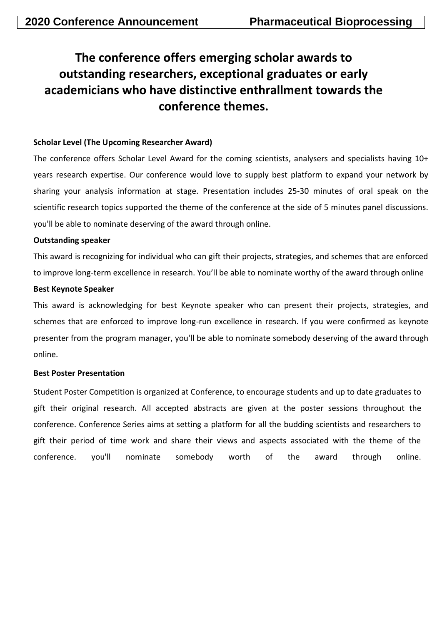# **The conference offers emerging scholar awards to outstanding researchers, exceptional graduates or early academicians who have distinctive enthrallment towards the conference themes.**

## **Scholar Level (The Upcoming Researcher Award)**

The conference offers Scholar Level Award for the coming scientists, analysers and specialists having 10+ years research expertise. Our conference would love to supply best platform to expand your network by sharing your analysis information at stage. Presentation includes 25-30 minutes of oral speak on the scientific research topics supported the theme of the conference at the side of 5 minutes panel discussions. you'll be able to nominate deserving of the award through online.

## **Outstanding speaker**

This award is recognizing for individual who can gift their projects, strategies, and schemes that are enforced to improve long-term excellence in research. You'll be able to nominate worthy of the award through online

### **Best Keynote Speaker**

This award is acknowledging for best Keynote speaker who can present their projects, strategies, and schemes that are enforced to improve long-run excellence in research. If you were confirmed as keynote presenter from the program manager, you'll be able to nominate somebody deserving of the award through online.

### **Best Poster Presentation**

Student Poster Competition is organized at Conference, to encourage students and up to date graduates to gift their original research. All accepted abstracts are given at the poster sessions throughout the conference. Conference Series aims at setting a platform for all the budding scientists and researchers to gift their period of time work and share their views and aspects associated with the theme of the conference. you'll nominate somebody worth of the award through online.